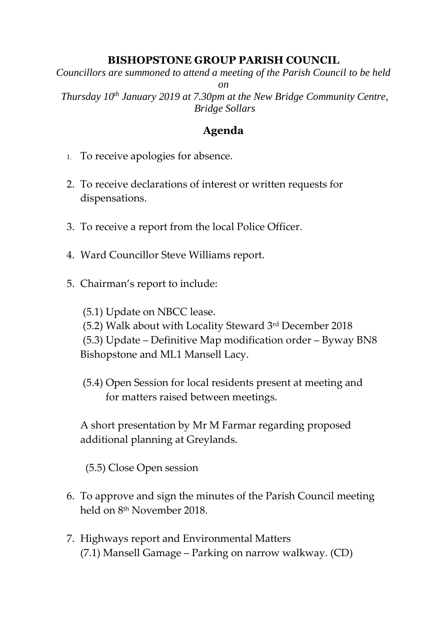## **BISHOPSTONE GROUP PARISH COUNCIL**

*Councillors are summoned to attend a meeting of the Parish Council to be held* 

*on*

*Thursday 10th January 2019 at 7.30pm at the New Bridge Community Centre, Bridge Sollars*

## **Agenda**

- 1. To receive apologies for absence.
- 2. To receive declarations of interest or written requests for dispensations.
- 3. To receive a report from the local Police Officer.
- 4. Ward Councillor Steve Williams report.
- 5. Chairman's report to include:
	- (5.1) Update on NBCC lease.
	- (5.2) Walk about with Locality Steward 3rd December 2018

(5.3) Update – Definitive Map modification order – Byway BN8 Bishopstone and ML1 Mansell Lacy.

(5.4) Open Session for local residents present at meeting and for matters raised between meetings.

A short presentation by Mr M Farmar regarding proposed additional planning at Greylands.

(5.5) Close Open session

- 6. To approve and sign the minutes of the Parish Council meeting held on 8<sup>th</sup> November 2018.
- 7. Highways report and Environmental Matters (7.1) Mansell Gamage – Parking on narrow walkway. (CD)